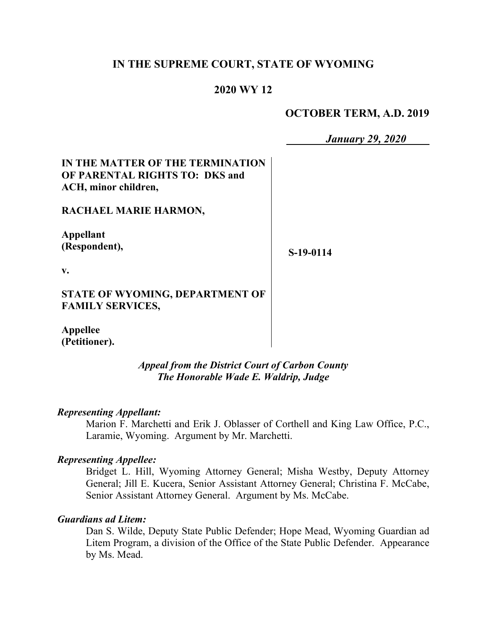## **IN THE SUPREME COURT, STATE OF WYOMING**

### **2020 WY 12**

 $\mathbf{r}$ 

## **OCTOBER TERM, A.D. 2019**

*January 29, 2020*

| IN THE MATTER OF THE TERMINATION<br><b>OF PARENTAL RIGHTS TO: DKS and</b> |           |
|---------------------------------------------------------------------------|-----------|
| ACH, minor children,                                                      |           |
| RACHAEL MARIE HARMON,                                                     |           |
| Appellant                                                                 |           |
| (Respondent),                                                             | S-19-0114 |
| v.                                                                        |           |
| STATE OF WYOMING, DEPARTMENT OF                                           |           |
| <b>FAMILY SERVICES,</b>                                                   |           |
| Appellee                                                                  |           |
| (Petitioner).                                                             |           |
| <b>Appeal from the District Court of Carbon County</b>                    |           |

#### *Representing Appellant:*

Marion F. Marchetti and Erik J. Oblasser of Corthell and King Law Office, P.C., Laramie, Wyoming. Argument by Mr. Marchetti.

*The Honorable Wade E. Waldrip, Judge*

#### *Representing Appellee:*

Bridget L. Hill, Wyoming Attorney General; Misha Westby, Deputy Attorney General; Jill E. Kucera, Senior Assistant Attorney General; Christina F. McCabe, Senior Assistant Attorney General. Argument by Ms. McCabe.

#### *Guardians ad Litem:*

Dan S. Wilde, Deputy State Public Defender; Hope Mead, Wyoming Guardian ad Litem Program, a division of the Office of the State Public Defender. Appearance by Ms. Mead.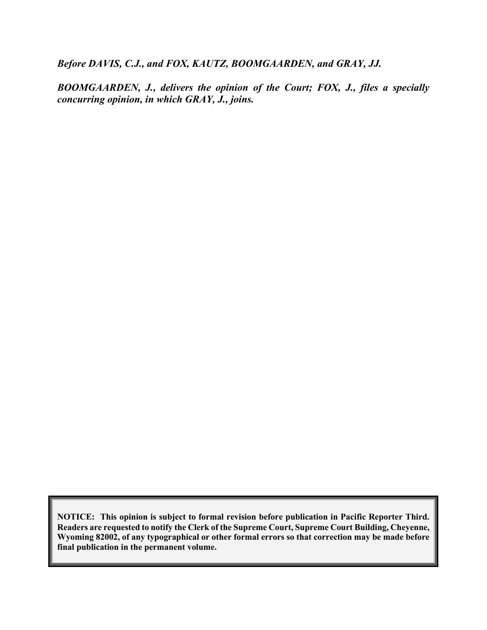*Before DAVIS, C.J., and FOX, KAUTZ, BOOMGAARDEN, and GRAY, JJ.*

*BOOMGAARDEN, J., delivers the opinion of the Court; FOX, J., files a specially concurring opinion, in which GRAY, J., joins.*

**NOTICE: This opinion is subject to formal revision before publication in Pacific Reporter Third. Readers are requested to notify the Clerk of the Supreme Court, Supreme Court Building, Cheyenne, Wyoming 82002, of any typographical or other formal errors so that correction may be made before final publication in the permanent volume.**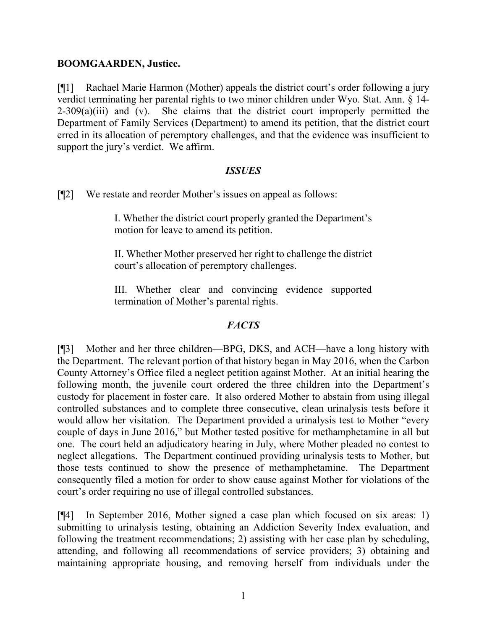### **BOOMGAARDEN, Justice.**

[¶1] Rachael Marie Harmon (Mother) appeals the district court's order following a jury verdict terminating her parental rights to two minor children under Wyo. Stat. Ann. § 14-  $2-309(a)(iii)$  and (v). She claims that the district court improperly permitted the Department of Family Services (Department) to amend its petition, that the district court erred in its allocation of peremptory challenges, and that the evidence was insufficient to support the jury's verdict. We affirm.

### *ISSUES*

[¶2] We restate and reorder Mother's issues on appeal as follows:

I. Whether the district court properly granted the Department's motion for leave to amend its petition.

II. Whether Mother preserved her right to challenge the district court's allocation of peremptory challenges.

III. Whether clear and convincing evidence supported termination of Mother's parental rights.

## *FACTS*

[¶3] Mother and her three children—BPG, DKS, and ACH—have a long history with the Department. The relevant portion of that history began in May 2016, when the Carbon County Attorney's Office filed a neglect petition against Mother. At an initial hearing the following month, the juvenile court ordered the three children into the Department's custody for placement in foster care. It also ordered Mother to abstain from using illegal controlled substances and to complete three consecutive, clean urinalysis tests before it would allow her visitation. The Department provided a urinalysis test to Mother "every couple of days in June 2016," but Mother tested positive for methamphetamine in all but one. The court held an adjudicatory hearing in July, where Mother pleaded no contest to neglect allegations. The Department continued providing urinalysis tests to Mother, but those tests continued to show the presence of methamphetamine. The Department consequently filed a motion for order to show cause against Mother for violations of the court's order requiring no use of illegal controlled substances.

[¶4] In September 2016, Mother signed a case plan which focused on six areas: 1) submitting to urinalysis testing, obtaining an Addiction Severity Index evaluation, and following the treatment recommendations; 2) assisting with her case plan by scheduling, attending, and following all recommendations of service providers; 3) obtaining and maintaining appropriate housing, and removing herself from individuals under the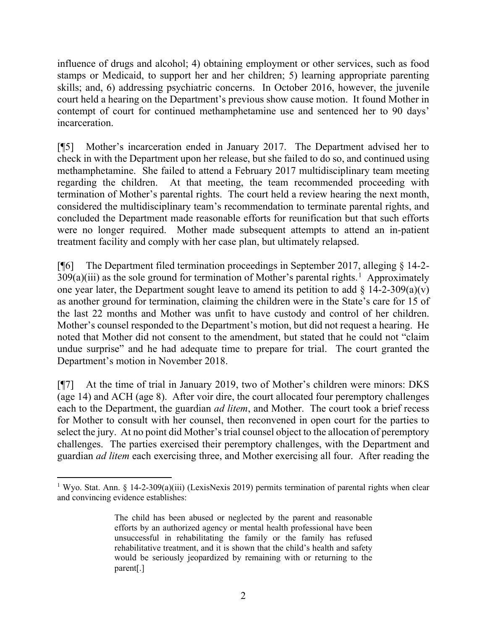influence of drugs and alcohol; 4) obtaining employment or other services, such as food stamps or Medicaid, to support her and her children; 5) learning appropriate parenting skills; and, 6) addressing psychiatric concerns. In October 2016, however, the juvenile court held a hearing on the Department's previous show cause motion. It found Mother in contempt of court for continued methamphetamine use and sentenced her to 90 days' incarceration.

[¶5] Mother's incarceration ended in January 2017. The Department advised her to check in with the Department upon her release, but she failed to do so, and continued using methamphetamine. She failed to attend a February 2017 multidisciplinary team meeting regarding the children. At that meeting, the team recommended proceeding with termination of Mother's parental rights. The court held a review hearing the next month, considered the multidisciplinary team's recommendation to terminate parental rights, and concluded the Department made reasonable efforts for reunification but that such efforts were no longer required. Mother made subsequent attempts to attend an in-patient treatment facility and comply with her case plan, but ultimately relapsed.

[¶6] The Department filed termination proceedings in September 2017, alleging § 14-2-  $309(a)(iii)$  as the sole ground for termination of Mother's parental rights.<sup>[1](#page-3-0)</sup> Approximately one year later, the Department sought leave to amend its petition to add  $\S$  14-2-309(a)(v) as another ground for termination, claiming the children were in the State's care for 15 of the last 22 months and Mother was unfit to have custody and control of her children. Mother's counsel responded to the Department's motion, but did not request a hearing. He noted that Mother did not consent to the amendment, but stated that he could not "claim undue surprise" and he had adequate time to prepare for trial. The court granted the Department's motion in November 2018.

[¶7] At the time of trial in January 2019, two of Mother's children were minors: DKS (age 14) and ACH (age 8). After voir dire, the court allocated four peremptory challenges each to the Department, the guardian *ad litem*, and Mother. The court took a brief recess for Mother to consult with her counsel, then reconvened in open court for the parties to select the jury. At no point did Mother's trial counsel object to the allocation of peremptory challenges. The parties exercised their peremptory challenges, with the Department and guardian *ad litem* each exercising three, and Mother exercising all four. After reading the

<span id="page-3-0"></span><sup>&</sup>lt;sup>1</sup> Wyo. Stat. Ann. § 14-2-309(a)(iii) (LexisNexis 2019) permits termination of parental rights when clear and convincing evidence establishes:

The child has been abused or neglected by the parent and reasonable efforts by an authorized agency or mental health professional have been unsuccessful in rehabilitating the family or the family has refused rehabilitative treatment, and it is shown that the child's health and safety would be seriously jeopardized by remaining with or returning to the parent[.]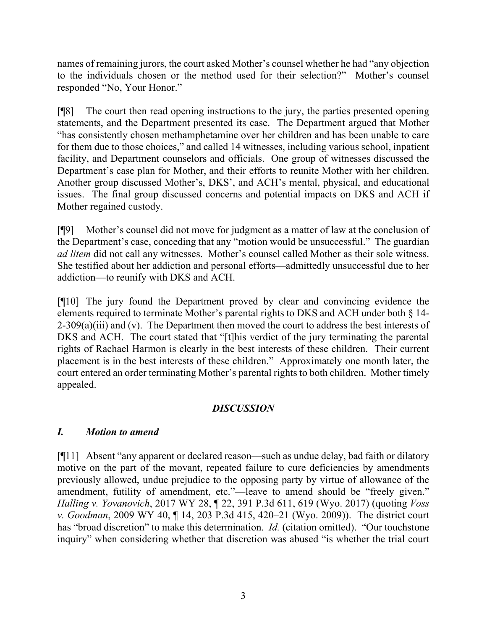names of remaining jurors, the court asked Mother's counsel whether he had "any objection to the individuals chosen or the method used for their selection?" Mother's counsel responded "No, Your Honor."

[¶8] The court then read opening instructions to the jury, the parties presented opening statements, and the Department presented its case. The Department argued that Mother "has consistently chosen methamphetamine over her children and has been unable to care for them due to those choices," and called 14 witnesses, including various school, inpatient facility, and Department counselors and officials. One group of witnesses discussed the Department's case plan for Mother, and their efforts to reunite Mother with her children. Another group discussed Mother's, DKS', and ACH's mental, physical, and educational issues. The final group discussed concerns and potential impacts on DKS and ACH if Mother regained custody.

[¶9] Mother's counsel did not move for judgment as a matter of law at the conclusion of the Department's case, conceding that any "motion would be unsuccessful." The guardian *ad litem* did not call any witnesses. Mother's counsel called Mother as their sole witness. She testified about her addiction and personal efforts—admittedly unsuccessful due to her addiction—to reunify with DKS and ACH.

[¶10] The jury found the Department proved by clear and convincing evidence the elements required to terminate Mother's parental rights to DKS and ACH under both § 14-  $2-309(a)(iii)$  and (v). The Department then moved the court to address the best interests of DKS and ACH. The court stated that "[t]his verdict of the jury terminating the parental rights of Rachael Harmon is clearly in the best interests of these children. Their current placement is in the best interests of these children." Approximately one month later, the court entered an order terminating Mother's parental rights to both children. Mother timely appealed.

# *DISCUSSION*

## *I. Motion to amend*

[¶11] Absent "any apparent or declared reason—such as undue delay, bad faith or dilatory motive on the part of the movant, repeated failure to cure deficiencies by amendments previously allowed, undue prejudice to the opposing party by virtue of allowance of the amendment, futility of amendment, etc."—leave to amend should be "freely given." *Halling v. Yovanovich*, 2017 WY 28, ¶ 22, 391 P.3d 611, 619 (Wyo. 2017) (quoting *Voss v. Goodman*, 2009 WY 40, ¶ 14, 203 P.3d 415, 420–21 (Wyo. 2009)). The district court has "broad discretion" to make this determination. *Id.* (citation omitted). "Our touchstone inquiry" when considering whether that discretion was abused "is whether the trial court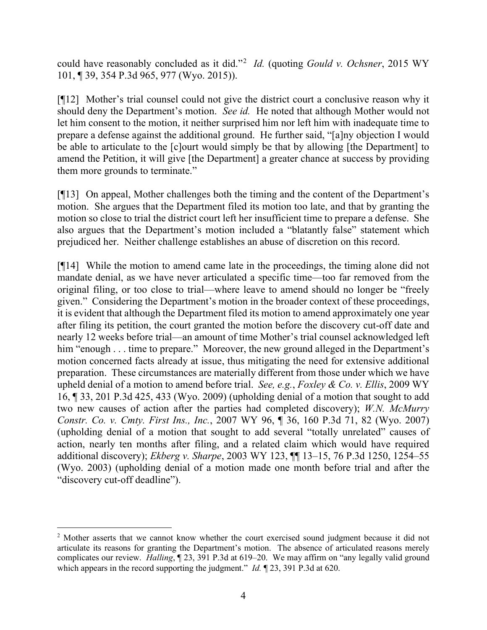could have reasonably concluded as it did."[2](#page-5-0) *Id.* (quoting *Gould v. Ochsner*, 2015 WY 101, ¶ 39, 354 P.3d 965, 977 (Wyo. 2015)).

[¶12] Mother's trial counsel could not give the district court a conclusive reason why it should deny the Department's motion. *See id.* He noted that although Mother would not let him consent to the motion, it neither surprised him nor left him with inadequate time to prepare a defense against the additional ground. He further said, "[a]ny objection I would be able to articulate to the [c]ourt would simply be that by allowing [the Department] to amend the Petition, it will give [the Department] a greater chance at success by providing them more grounds to terminate."

[¶13] On appeal, Mother challenges both the timing and the content of the Department's motion. She argues that the Department filed its motion too late, and that by granting the motion so close to trial the district court left her insufficient time to prepare a defense. She also argues that the Department's motion included a "blatantly false" statement which prejudiced her. Neither challenge establishes an abuse of discretion on this record.

[¶14] While the motion to amend came late in the proceedings, the timing alone did not mandate denial, as we have never articulated a specific time—too far removed from the original filing, or too close to trial—where leave to amend should no longer be "freely given." Considering the Department's motion in the broader context of these proceedings, it is evident that although the Department filed its motion to amend approximately one year after filing its petition, the court granted the motion before the discovery cut-off date and nearly 12 weeks before trial—an amount of time Mother's trial counsel acknowledged left him "enough . . . time to prepare." Moreover, the new ground alleged in the Department's motion concerned facts already at issue, thus mitigating the need for extensive additional preparation. These circumstances are materially different from those under which we have upheld denial of a motion to amend before trial. *See, e.g.*, *Foxley & Co. v. Ellis*, 2009 WY 16, ¶ 33, 201 P.3d 425, 433 (Wyo. 2009) (upholding denial of a motion that sought to add two new causes of action after the parties had completed discovery); *W.N. McMurry Constr. Co. v. Cmty. First Ins., Inc.*, 2007 WY 96, ¶ 36, 160 P.3d 71, 82 (Wyo. 2007) (upholding denial of a motion that sought to add several "totally unrelated" causes of action, nearly ten months after filing, and a related claim which would have required additional discovery); *Ekberg v. Sharpe*, 2003 WY 123, ¶¶ 13–15, 76 P.3d 1250, 1254–55 (Wyo. 2003) (upholding denial of a motion made one month before trial and after the "discovery cut-off deadline").

<span id="page-5-0"></span><sup>&</sup>lt;sup>2</sup> Mother asserts that we cannot know whether the court exercised sound judgment because it did not articulate its reasons for granting the Department's motion. The absence of articulated reasons merely complicates our review. *Halling*, ¶ 23, 391 P.3d at 619–20. We may affirm on "any legally valid ground which appears in the record supporting the judgment." *Id.* ¶ 23, 391 P.3d at 620.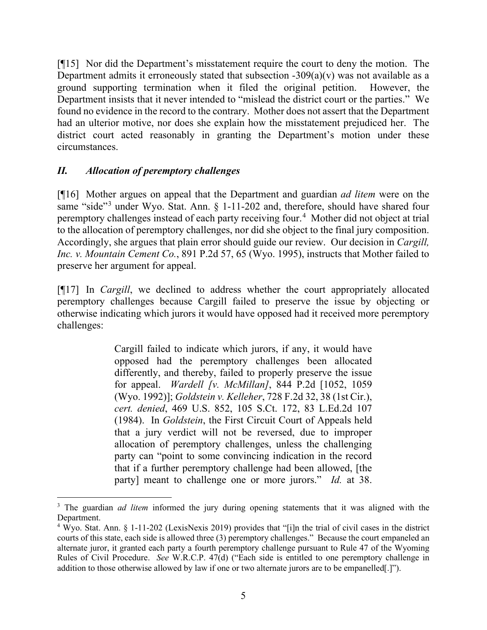[¶15] Nor did the Department's misstatement require the court to deny the motion. The Department admits it erroneously stated that subsection  $-309(a)(v)$  was not available as a ground supporting termination when it filed the original petition. However, the Department insists that it never intended to "mislead the district court or the parties." We found no evidence in the record to the contrary. Mother does not assert that the Department had an ulterior motive, nor does she explain how the misstatement prejudiced her. The district court acted reasonably in granting the Department's motion under these circumstances.

## *II. Allocation of peremptory challenges*

[¶16] Mother argues on appeal that the Department and guardian *ad litem* were on the same "side"<sup>[3](#page-6-0)</sup> under Wyo. Stat. Ann. § 1-11-202 and, therefore, should have shared four peremptory challenges instead of each party receiving four.<sup>[4](#page-6-1)</sup> Mother did not object at trial to the allocation of peremptory challenges, nor did she object to the final jury composition. Accordingly, she argues that plain error should guide our review. Our decision in *Cargill, Inc. v. Mountain Cement Co.*, 891 P.2d 57, 65 (Wyo. 1995), instructs that Mother failed to preserve her argument for appeal.

[¶17] In *Cargill*, we declined to address whether the court appropriately allocated peremptory challenges because Cargill failed to preserve the issue by objecting or otherwise indicating which jurors it would have opposed had it received more peremptory challenges:

> Cargill failed to indicate which jurors, if any, it would have opposed had the peremptory challenges been allocated differently, and thereby, failed to properly preserve the issue for appeal. *Wardell [v. McMillan]*, 844 P.2d [1052, 1059 (Wyo. 1992)]; *Goldstein v. Kelleher*, 728 F.2d 32, 38 (1st Cir.), *cert. denied*, 469 U.S. 852, 105 S.Ct. 172, 83 L.Ed.2d 107 (1984). In *Goldstein*, the First Circuit Court of Appeals held that a jury verdict will not be reversed, due to improper allocation of peremptory challenges, unless the challenging party can "point to some convincing indication in the record that if a further peremptory challenge had been allowed, [the party] meant to challenge one or more jurors." *Id.* at 38.

<span id="page-6-0"></span><sup>&</sup>lt;sup>3</sup> The guardian *ad litem* informed the jury during opening statements that it was aligned with the Department.

<span id="page-6-1"></span><sup>4</sup> Wyo. Stat. Ann. § 1-11-202 (LexisNexis 2019) provides that "[i]n the trial of civil cases in the district courts of this state, each side is allowed three (3) peremptory challenges." Because the court empaneled an alternate juror, it granted each party a fourth peremptory challenge pursuant to Rule 47 of the Wyoming Rules of Civil Procedure. *See* W.R.C.P. 47(d) ("Each side is entitled to one peremptory challenge in addition to those otherwise allowed by law if one or two alternate jurors are to be empanelled[.]").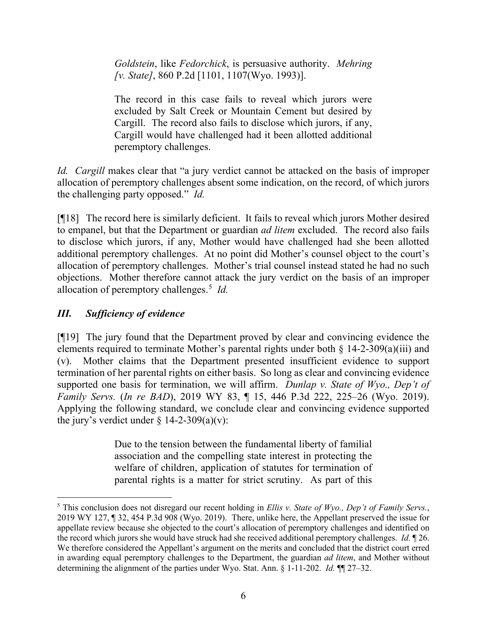*Goldstein*, like *Fedorchick*, is persuasive authority. *Mehring [v. State]*, 860 P.2d [1101, 1107(Wyo. 1993)].

The record in this case fails to reveal which jurors were excluded by Salt Creek or Mountain Cement but desired by Cargill. The record also fails to disclose which jurors, if any, Cargill would have challenged had it been allotted additional peremptory challenges.

*Id. Cargill* makes clear that "a jury verdict cannot be attacked on the basis of improper allocation of peremptory challenges absent some indication, on the record, of which jurors the challenging party opposed." *Id.*

[¶18] The record here is similarly deficient. It fails to reveal which jurors Mother desired to empanel, but that the Department or guardian *ad litem* excluded. The record also fails to disclose which jurors, if any, Mother would have challenged had she been allotted additional peremptory challenges. At no point did Mother's counsel object to the court's allocation of peremptory challenges. Mother's trial counsel instead stated he had no such objections. Mother therefore cannot attack the jury verdict on the basis of an improper allocation of peremptory challenges. [5](#page-7-0) *Id.*

# *III. Sufficiency of evidence*

[¶19] The jury found that the Department proved by clear and convincing evidence the elements required to terminate Mother's parental rights under both § 14-2-309(a)(iii) and (v). Mother claims that the Department presented insufficient evidence to support termination of her parental rights on either basis. So long as clear and convincing evidence supported one basis for termination, we will affirm. *Dunlap v. State of Wyo., Dep't of Family Servs.* (*In re BAD*), 2019 WY 83, ¶ 15, 446 P.3d 222, 225–26 (Wyo. 2019). Applying the following standard, we conclude clear and convincing evidence supported the jury's verdict under  $\S$  14-2-309(a)(v):

> Due to the tension between the fundamental liberty of familial association and the compelling state interest in protecting the welfare of children, application of statutes for termination of parental rights is a matter for strict scrutiny. As part of this

<span id="page-7-0"></span><sup>5</sup> This conclusion does not disregard our recent holding in *Ellis v. State of Wyo., Dep't of Family Servs.*, 2019 WY 127, ¶ 32, 454 P.3d 908 (Wyo. 2019). There, unlike here, the Appellant preserved the issue for appellate review because she objected to the court's allocation of peremptory challenges and identified on the record which jurors she would have struck had she received additional peremptory challenges. *Id.* ¶ 26. We therefore considered the Appellant's argument on the merits and concluded that the district court erred in awarding equal peremptory challenges to the Department, the guardian *ad litem*, and Mother without determining the alignment of the parties under Wyo. Stat. Ann. § 1-11-202. *Id.* ¶¶ 27–32.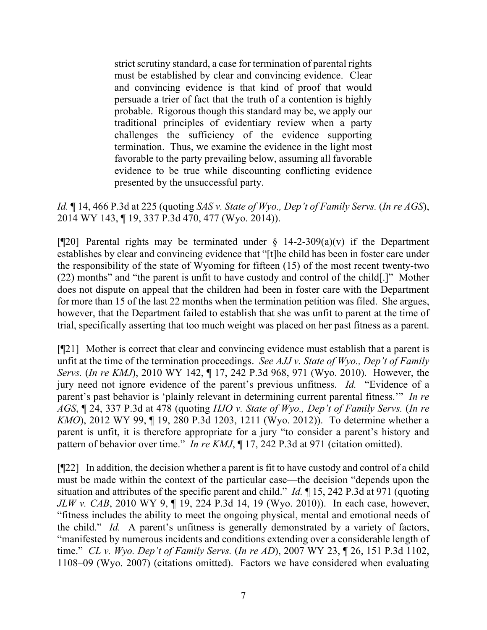strict scrutiny standard, a case for termination of parental rights must be established by clear and convincing evidence. Clear and convincing evidence is that kind of proof that would persuade a trier of fact that the truth of a contention is highly probable. Rigorous though this standard may be, we apply our traditional principles of evidentiary review when a party challenges the sufficiency of the evidence supporting termination. Thus, we examine the evidence in the light most favorable to the party prevailing below, assuming all favorable evidence to be true while discounting conflicting evidence presented by the unsuccessful party.

*Id.* ¶ 14, 466 P.3d at 225 (quoting *SAS v. State of Wyo., Dep't of Family Servs.* (*In re AGS*), 2014 WY 143, ¶ 19, 337 P.3d 470, 477 (Wyo. 2014)).

[ $[$ [20] Parental rights may be terminated under § 14-2-309(a)(v) if the Department establishes by clear and convincing evidence that "[t]he child has been in foster care under the responsibility of the state of Wyoming for fifteen (15) of the most recent twenty-two (22) months" and "the parent is unfit to have custody and control of the child[.]" Mother does not dispute on appeal that the children had been in foster care with the Department for more than 15 of the last 22 months when the termination petition was filed. She argues, however, that the Department failed to establish that she was unfit to parent at the time of trial, specifically asserting that too much weight was placed on her past fitness as a parent.

[¶21] Mother is correct that clear and convincing evidence must establish that a parent is unfit at the time of the termination proceedings. *See AJJ v. State of Wyo., Dep't of Family Servs.* (*In re KMJ*), 2010 WY 142, ¶ 17, 242 P.3d 968, 971 (Wyo. 2010). However, the jury need not ignore evidence of the parent's previous unfitness. *Id.* "Evidence of a parent's past behavior is 'plainly relevant in determining current parental fitness.'" *In re AGS*, ¶ 24, 337 P.3d at 478 (quoting *HJO v. State of Wyo., Dep't of Family Servs.* (*In re KMO*), 2012 WY 99, 19, 280 P.3d 1203, 1211 (Wyo. 2012)). To determine whether a parent is unfit, it is therefore appropriate for a jury "to consider a parent's history and pattern of behavior over time." *In re KMJ*, ¶ 17, 242 P.3d at 971 (citation omitted).

[¶22] In addition, the decision whether a parent is fit to have custody and control of a child must be made within the context of the particular case—the decision "depends upon the situation and attributes of the specific parent and child." *Id.* ¶ 15, 242 P.3d at 971 (quoting *JLW v. CAB*, 2010 WY 9, 19, 224 P.3d 14, 19 (Wyo. 2010)). In each case, however, "fitness includes the ability to meet the ongoing physical, mental and emotional needs of the child." *Id.* A parent's unfitness is generally demonstrated by a variety of factors, "manifested by numerous incidents and conditions extending over a considerable length of time." *CL v. Wyo. Dep't of Family Servs.* (*In re AD*), 2007 WY 23, ¶ 26, 151 P.3d 1102, 1108–09 (Wyo. 2007) (citations omitted). Factors we have considered when evaluating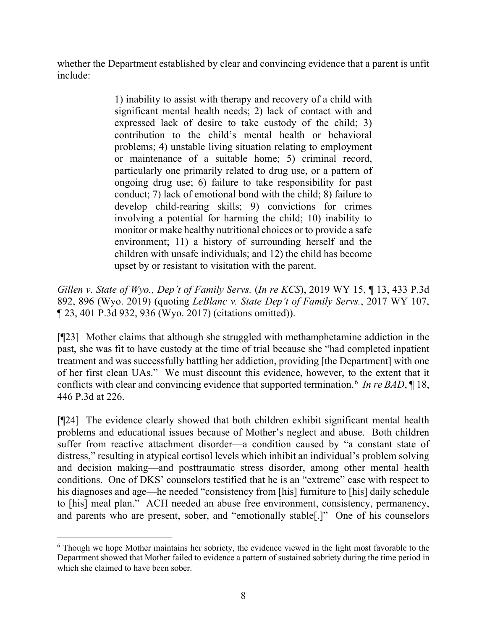whether the Department established by clear and convincing evidence that a parent is unfit include:

> 1) inability to assist with therapy and recovery of a child with significant mental health needs; 2) lack of contact with and expressed lack of desire to take custody of the child; 3) contribution to the child's mental health or behavioral problems; 4) unstable living situation relating to employment or maintenance of a suitable home; 5) criminal record, particularly one primarily related to drug use, or a pattern of ongoing drug use; 6) failure to take responsibility for past conduct; 7) lack of emotional bond with the child; 8) failure to develop child-rearing skills; 9) convictions for crimes involving a potential for harming the child; 10) inability to monitor or make healthy nutritional choices or to provide a safe environment; 11) a history of surrounding herself and the children with unsafe individuals; and 12) the child has become upset by or resistant to visitation with the parent.

*Gillen v. State of Wyo., Dep't of Family Servs.* (*In re KCS*), 2019 WY 15, ¶ 13, 433 P.3d 892, 896 (Wyo. 2019) (quoting *LeBlanc v. State Dep't of Family Servs.*, 2017 WY 107, ¶ 23, 401 P.3d 932, 936 (Wyo. 2017) (citations omitted)).

[¶23] Mother claims that although she struggled with methamphetamine addiction in the past, she was fit to have custody at the time of trial because she "had completed inpatient treatment and was successfully battling her addiction, providing [the Department] with one of her first clean UAs." We must discount this evidence, however, to the extent that it conflicts with clear and convincing evidence that supported termination.[6](#page-9-0) *In re BAD*, ¶ 18, 446 P.3d at 226.

[¶24] The evidence clearly showed that both children exhibit significant mental health problems and educational issues because of Mother's neglect and abuse. Both children suffer from reactive attachment disorder—a condition caused by "a constant state of distress," resulting in atypical cortisol levels which inhibit an individual's problem solving and decision making—and posttraumatic stress disorder, among other mental health conditions. One of DKS' counselors testified that he is an "extreme" case with respect to his diagnoses and age—he needed "consistency from [his] furniture to [his] daily schedule to [his] meal plan." ACH needed an abuse free environment, consistency, permanency, and parents who are present, sober, and "emotionally stable[.]" One of his counselors

<span id="page-9-0"></span><sup>6</sup> Though we hope Mother maintains her sobriety, the evidence viewed in the light most favorable to the Department showed that Mother failed to evidence a pattern of sustained sobriety during the time period in which she claimed to have been sober.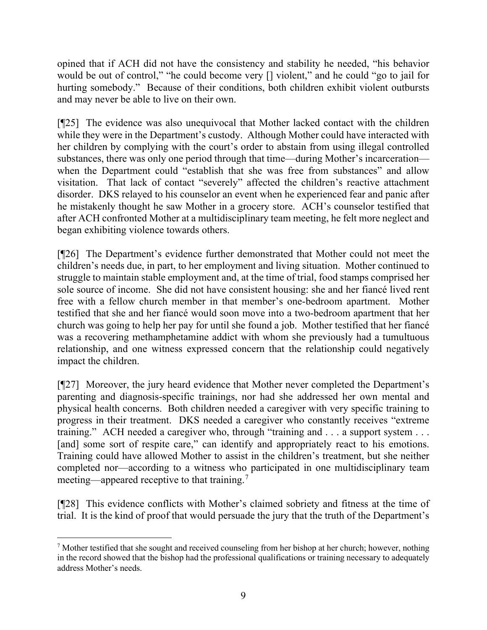opined that if ACH did not have the consistency and stability he needed, "his behavior would be out of control," "he could become very  $\lceil \rceil$  violent," and he could "go to jail for hurting somebody." Because of their conditions, both children exhibit violent outbursts and may never be able to live on their own.

[¶25] The evidence was also unequivocal that Mother lacked contact with the children while they were in the Department's custody. Although Mother could have interacted with her children by complying with the court's order to abstain from using illegal controlled substances, there was only one period through that time—during Mother's incarceration when the Department could "establish that she was free from substances" and allow visitation. That lack of contact "severely" affected the children's reactive attachment disorder. DKS relayed to his counselor an event when he experienced fear and panic after he mistakenly thought he saw Mother in a grocery store. ACH's counselor testified that after ACH confronted Mother at a multidisciplinary team meeting, he felt more neglect and began exhibiting violence towards others.

[¶26] The Department's evidence further demonstrated that Mother could not meet the children's needs due, in part, to her employment and living situation. Mother continued to struggle to maintain stable employment and, at the time of trial, food stamps comprised her sole source of income. She did not have consistent housing: she and her fiancé lived rent free with a fellow church member in that member's one-bedroom apartment. Mother testified that she and her fiancé would soon move into a two-bedroom apartment that her church was going to help her pay for until she found a job. Mother testified that her fiancé was a recovering methamphetamine addict with whom she previously had a tumultuous relationship, and one witness expressed concern that the relationship could negatively impact the children.

[¶27] Moreover, the jury heard evidence that Mother never completed the Department's parenting and diagnosis-specific trainings, nor had she addressed her own mental and physical health concerns. Both children needed a caregiver with very specific training to progress in their treatment. DKS needed a caregiver who constantly receives "extreme training." ACH needed a caregiver who, through "training and . . . a support system . . . [and] some sort of respite care," can identify and appropriately react to his emotions. Training could have allowed Mother to assist in the children's treatment, but she neither completed nor—according to a witness who participated in one multidisciplinary team meeting—appeared receptive to that training.<sup>[7](#page-10-0)</sup>

[¶28] This evidence conflicts with Mother's claimed sobriety and fitness at the time of trial. It is the kind of proof that would persuade the jury that the truth of the Department's

<span id="page-10-0"></span><sup>7</sup> Mother testified that she sought and received counseling from her bishop at her church; however, nothing in the record showed that the bishop had the professional qualifications or training necessary to adequately address Mother's needs.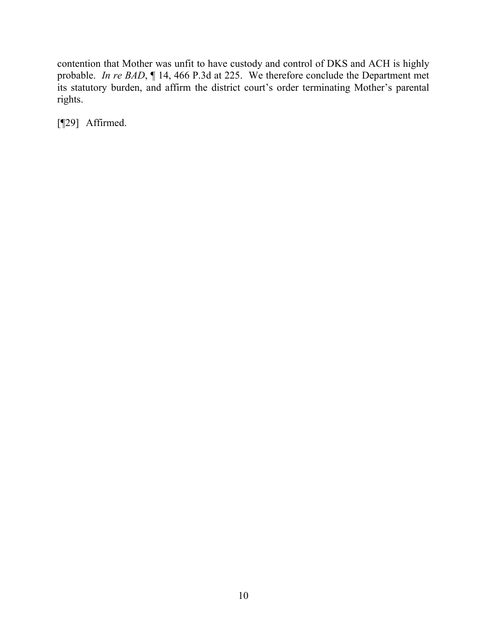contention that Mother was unfit to have custody and control of DKS and ACH is highly probable. *In re BAD*, ¶ 14, 466 P.3d at 225. We therefore conclude the Department met its statutory burden, and affirm the district court's order terminating Mother's parental rights.

[¶29] Affirmed.